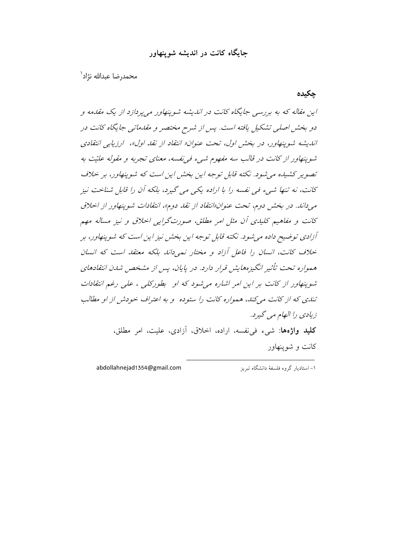## حاىگاه كانت در انديشه شوينهاور

محمدرضا عبدالله نژاد<sup>\</sup>

چکیدہ

این مقاله که به بررسی جایگاه کانت در اندیشه شوینهاور میپردازد از یک مقدمه و دو بخش اصلی تشکیل یافته است. پس از شرح مختصر و مقدماتی جایگاه کانت در اندیشه شوینهاور، در پخش اول، تحت عنوان« انتفاد از نقد اول»، ارزمایی انتفادی شوینهاور از کانت در قالب سه مفهوم شیء فی نفسه، معنای تجربه و مقوله علیّت به تصویر کشیده می شود. نکته قابل توجه این بخش این است که شوینهاور، بر خلاف كانت، نه تنها شيء في نفسه را با اراده يكي مي گيرد، بلكه أن را قابل شناخت نيز می داند. در بخش دوم، تحت عنوان«انتقاد از نقد دوم»، انتقادات شوپنهاور از اخلاق کانت و مفاهیم کلیدی آن مثل امر مطلق، صورتگرایی اخلاق و نیز مساله مهم آزادي توضيع داده مي شود. نكته قابل توجه اين بخش نيز اين است كه شوينهاور، بر خلاف کانت، انسان را فاعل آزاد و مختار نمبی داند بلکه معتقد است که انسان همواره تحت تأثیر انگیزههایش قرار دارد. در پایان، پس از مشخص شدن انتقادهای شوینهاور از کانت بر این امر اشاره می شود که او بطورکلی ، علی رغم انتقادات تندی که از کانت می کند، همواره کانت را ستوده و به اعتراف خودش از او مطالب زيادي را الهام مي گيرد. **كليد واژهها**: شيء في نفسه، اراده، اخلاق، آزادي، عليت، امر مطلق، کانت و شوینهاور

abdollahnejad1354@gmail.com

۱– استادبار گروه فلسفهٔ دانشگاه تیریز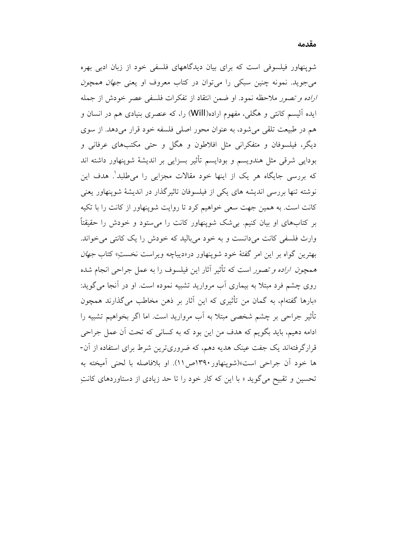شوپنهاور فیلسوفی است که برای بیان دیدگاههای فلسفی خود از زبان ادبی بهره می جوید. نمونه چنین سبکی را می توان در کتاب معروف او یعنی *جهان همچون* اراده و تصور ملاحظه نمود. او ضمن انتقاد از تفکرات فلسفی عصر خودش از جمله ایده آلیسم کانتی و هگلی، مفهوم اراده(Will) را، که عنصری بنیادی هم در انسان و هم در طبیعت تلقی می شود، به عنوان محور اصلی فلسفه خود قرار میدهد. از سوی دیگر، فیلسوفان و متفکرانی مثل افلاطون و هگل و حتی مکتبهای عرفانی و بودایی شرقی مثل هندویسم و بودایسم تأثیر بسزایی بر اندیشهٔ شوپنهاور داشته اند که بررسی جایگاه هر یک از اینها خود مقالات مجزایی را می طلبد'. هدف این نوشته تنها بررسی اندیشه های یکی از فیلسوفان تاثیرگذار در اندیشهٔ شوپنهاور یعنی کانت است. به همین جهت سعی خواهیم کرد تا روایت شوینهاور از کانت را با تکیه بر کتابهای او بیان کنیم. بی شک شوینهاور کانت را می ستود و خودش را حقیقتاً وارث فلسفی کانت میدانست و به خود میبالید که خودش را یک کانتی می خواند. بهترین گواه بر این امر گفتهٔ خود شوینهاور در«دیباچه ویراست نخستِ» کتاب *جهان همچون اراده و تصور* است که تأثیر آثار این فیلسوف را به عمل جراحی انجام شده روی چشم فرد مبتلا به بیماری آب مروارید تشبیه نموده است. او در آنجا می گوید: «بارها گفتهام، به گمان من تأثیری که این آثار بر ذهن مخاطب میگذارند همچون تأثیر جراحی بر چشم شخصی مبتلا به آب مروارید است. اما اگر بخواهیم تشبیه را ادامه دهیم، باید بگویم که هدف من این بود که به کسانی که تحت آن عمل جراحی قرارگرفتهاند یک جفت عینک هدیه دهم، که ضروریترین شرط برای استفاده از آن-ها خود أن جراحي است»(شوينهاور١٣٩٠ص/١١). او بلافاصله با لحني أميخته به تحسین و تقبیح میگوید « با این که کار خود را تا حد زیادی از دستاوردهای کانتِ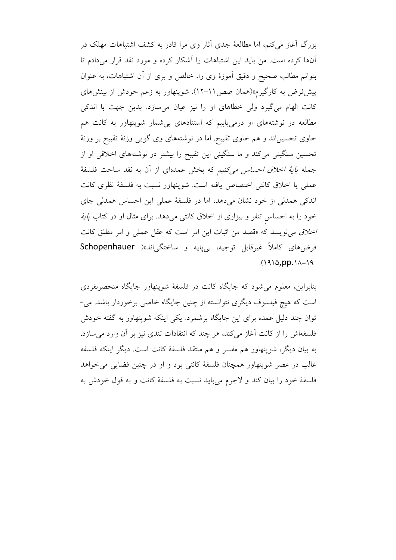بزرگ آغاز می کنم، اما مطالعهٔ جدی آثار وی مرا قادر به کشف اشتباهات مهلک در آنها کرده است. من باید این اشتباهات را آشکار کرده و مورد نقد قرار میدادم تا بتوانم مطالب صحیح و دقیق آموزهٔ وی را، خالص و بری از آن اشتباهات، به عنوان پیشفررض به کارگیرم»(همان صص ١١–١٢). شوپنهاور به زعم خودش از بینشهای کانت الهام می گیرد ولی خطاهای او را نیز عیان می سازد. بدین جهت با اندکی مطالعه در نوشتههای او درمی یابیم که استنادهای بی شمار شوپنهاور به کانت هم حاوی تحسین اند و هم حاوی تقبیح. اما در نوشتههای وی گویی وزنهٔ تقبیح بر وزنهٔ تحسین سنگینی میکند و ما سنگینی این تقبیح را بیشتر در نوشتههای اخلاقی او از جمله *پایهٔ اخلاق احساس می کنیم* که بخش عمدهای از آن به نقد ساحت فلسفهٔ عملي يا اخلاق كانتي اختصاص يافته است. شوينهاور نسبت به فلسفة نظري كانت اندکی همدلی از خود نشان میدهد، اما در فلسفهٔ عملی این احساس همدلی جای خود را به احساس تنفر و بیزاری از اخلاق کانتی میدهد. برای مثال او در کتاب *پایهٔ* اخلاق می نویسد که «قصد من اثبات این امر است که عقل عملی و امر مطلق کانت فرضهای کاملاً غیرقابل توجیه، بیپایه و ساختگیاند»( Schopenhauer  $(1910, pp.11)$ 

بنابراین، معلوم می شود که جایگاه کانت در فلسفهٔ شوپنهاور جایگاه منحصربفردی است که هیچ فیلسوف دیگری نتوانسته از چنین جایگاه خاصی برخوردار باشد. می-توان چند دلیل عمده برای این جایگاه برشمرد. یکی اینکه شوینهاور به گفته خودش فلسفهاش را از كانت آغاز مى كند، هر چند كه انتقادات تندى نيز بر آن وارد مى سازد. به بیان دیگر، شوپنهاور هم مفسر و هم منتقد فلسفهٔ کانت است. دیگر اینکه فلسفه غالب در عصر شوپنهاور همچنان فلسفهٔ کانتی بود و او در چنین فضایی می خواهد فلسفهٔ خود را بیان کند و لاجرم میباید نسبت به فلسفهٔ کانت و به قول خودش به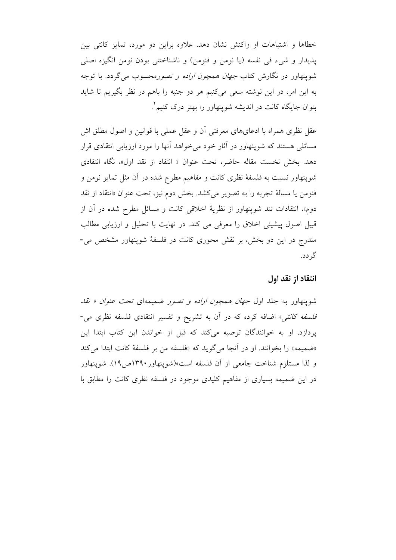خطاها و اشتباهات او واكنش نشان دهد. علاوه براين دو مورد، تمايز كانتي بين پدیدار و شیء فی نفسه (یا نومن و فنومن) و ناشناختنی بودن نومن انگیزه اصلی شوینهاور در نگارش کتاب *جهان همچون اراده و تصور*محسوب میگردد. با توجه به این امر، در این نوشته سعی میکنیم هر دو جنبه را باهم در نظر بگیریم تا شاید بتوان جایگاه کانت در اندیشه شوینهاور را بهتر درک کنیم ٔ

عقل نظري همراه با ادعاىهاى معرفتى أن و عقل عملى با قوانين و اصول مطلق اش مسائلی هستند که شوینهاور در آثار خود می خواهد آنها را مورد ارزیابی انتقادی قرار دهد. بخش نخست مقاله حاضر، تحت عنوان « انتقاد از نقد اول»، نگاه انتقادى شوپنهاور نسبت به فلسفهٔ نظری کانت و مفاهیم مطرح شده در آن مثل تمایز نومن و فنومن يا مسالة تجربه را به تصوير مي كشد. بخش دوم نيز، تحت عنوان «انتقاد از نقد دوم»، انتقادات تند شوینهاور از نظریهٔ اخلاقی کانت و مسائل مطرح شده در آن از قبیل اصول پیشینی اخلاق را معرفی می کند. در نهایت با تحلیل و ارزیابی مطالب مندرج در این دو بخش، بر نقش محوری کانت در فلسفهٔ شوینهاور مشخص می-گر دد.

#### انتقاد از نقد اول

شوینهاور به جلد اول *جهان همچون اراده و تصور* ضمیمهای تحت *عنوان « نقد فلسفه کانتی»* اضافه کرده که در آن به تشریح و تفسیر انتقادی فلسفه نظری می-یردازد. او به خوانندگان توصیه میکند که قبل از خواندن این کتاب ابتدا این «ضميمه» را بخوانند. او در آنجا مي گويد كه «فلسفه من بر فلسفهٔ كانت ابتدا مي كند و لذا مستلزم شناخت جامعی از آن فلسفه است»(شوپنهاور ۱۳۹۰ص۱۹). شوپنهاور در این ضمیمه بسیاری از مفاهیم کلیدی موجود در فلسفه نظری کانت را مطابق با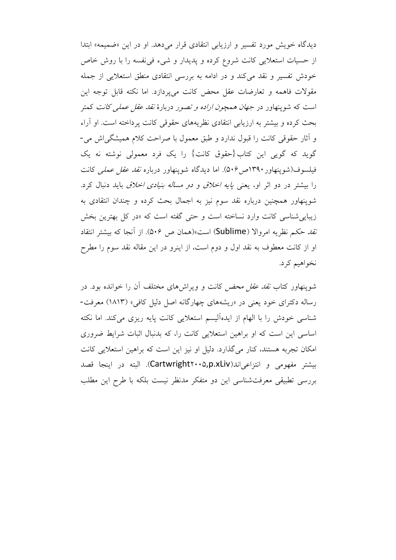دیدگاه خویش مورد تفسیر و ارزیابی انتقادی قرار می دهد. او در این «ضمیمه» ابتدا از حسیات استعلایی کانت شروع کرده و پدیدار و شیء فی نفسه را با روش خاص خودش تفسیر و نقد می کند و در ادامه به بررسی انتقادی منطق استعلایی از جمله مقولات فاهمه و تعارضات عقل محض كانت مى يردازد. اما نكته قابل توجه اين است که شوینهاور در *جهان همچون اراده و تصور* دربارهٔ *نقد عقل عملی کانت* کمتر بحث کرده و بیشتر به ارزیابی انتقادی نظریههای حقوقی کانت پرداخته است. او آراء و آثار حقوقی کانت را قبول ندارد و طبق معمول با صراحت کلام همیشگی اش می-گوید که گویی این کتاب{حقوق کانت} را یک فرد معمولی نوشته نه یک فیلسوف(شوینهاور ۱۳۹۰ص۶۰). اما دیدگاه شوینهاور درباره *نقد عقل عملی* کانت را بیشتر در دو اثر او، یعنی *یایه اخلاق و دو مساله بنیادی اخلاق* باید دنبال کرد. شوینهاور همچنین درباره نقد سوم نیز به اجمال بحث کرده و چندان انتقادی به زیبایی شناسی کانت وارد نساخته است و حتی گفته است که «در کل بهترین بخش نَّ*قد حكم* نظريه امروالا (Sublime) است»(همان ص ۵۰۶). از آنجا كه بيشتر انتقاد او از کانت معطوف به نقد اول و دوم است، از اینرو در این مقاله نقد سوم را مطرح نخواهيم كرد.

شوینهاور کتاب *نقد عقل محض* کانت و ویراش های مختلف آن را خوانده بود. در رساله دکترای خود یعنی در «ریشههای چهارگانه اصل دلیل کافی» (۱۸۱۳) معرفت-شناسی خودش را با الهام از ایدهآلیسم استعلایی کانت پایه ریزی میکند. اما نکته اساسی این است که او براهین استعلایی کانت را، که بدنبال اثبات شرایط ضروری امکان تجربه هستند، کنار میگذارد. دلیل او نیز این است که براهین استعلایی کانت بيشتر مفهومي و انتزاعي اند(Cartwright۲۰۰۵,p.xLiv). البته در اينجا قصد بررسی تطبیقی معرفتشناسی این دو متفکر مدنظر نیست بلکه با طرح این مطلب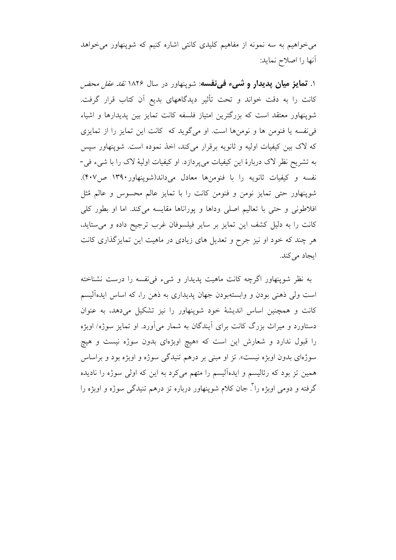می خواهیم به سه نمونه از مفاهیم کلیدی کانتی اشاره کنیم که شوپنهاور می خواهد أنها را اصلاح نمايد:

۱. **تمایز میان پدیدار و شبیء فبی نفسه**: شوپنهاور در سال ۱۸۲*۶ نقد عقل محض* كانت را به دقت خواند و تحت تأثير ديدگاههاى بديع آن كتاب قرار گرفت. شوینهاور معتقد است که بزرگترین امتیاز فلسفه کانت تمایز بین پدیدارها و اشیاء في نفسه يا فنومن ها و نومنها است. او مي گويد كه كانت اين تمايز را از تمايزي که لاک بین کیفیات اولیه و ثانویه برقرار میکند، اخذ نموده است. شوینهاور سیس به تشریح نظر لاک دربارهٔ این کیفیات میپردازد. او کیفیات اولیهٔ لاک را با شیء فی-نفسه و کیفیات ثانویه را با فنومنها معادل میداند(شوینهاور۱۳۹۰ ص۱۳۹۰). شوینهاور حتی تمایز نومن و فنومن کانت را با تمایز عالم محسوس و عالم مُثل افلاطونی و حتی با تعالیم اصلی وداها و پوراناها مقایسه میکند. اما او بطور کلی كانت را به دليل كشف اين تمايز بر ساير فيلسوفان غرب ترجيح داده و مي ستايد، هر چند که خود او نیز جرح و تعدیل های زیادی در ماهیت این تمایزگذاری کانت ایجاد میکند.

به نظر شوینهاور اگرچه کانت ماهیت پدیدار و شیء فی نفسه را درست نشناخته است ولي ذهني بودن و وابستهبودن جهان يديداري به ذهن را، كه اساس ايدهأليسم کانت و همچنین اساس اندیشهٔ خود شوینهاور را نیز تشکیل میدهد، به عنوان دستاورد و میراث بزرگ کانت برای آیندگان به شمار میآورد. او تمایز سوژه/ اوبژه را قبول ندارد و شعارش این است که «هیچ اوبژهای بدون سوژه نیست و هیچ سوژهای بدون اوبژه نیست». تز او مبنی بر درهم تنیدگی سوژه و اوبژه بود و براساس همین تز بود که رئالیسم و ایدهآلیسم را متهم میکرد به این که اولی سوژه را نادیده گرفته و دومی اویژه را ٌ. جان کلام شوینهاور درباره تز درهم تنیدگی سوژه و اویژه را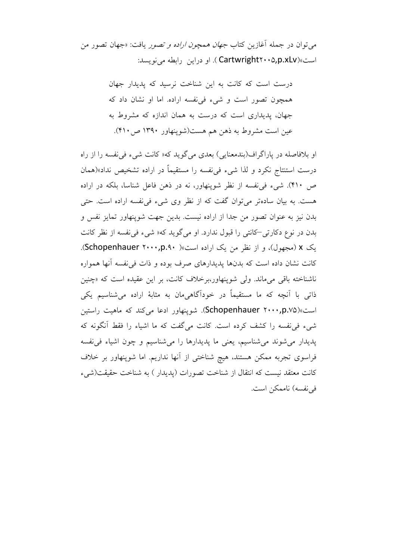می توان در جمله آغازین کتاب *جهان همچون اراده و تصور* یافت: «جهان تصور من است»(Cartwright۲۰۰۵,p.xLv). او دراین رابطه می نویسد:

> درست است که کانت به این شناخت نرسید که پدیدار جهان همچون تصور است و شيء في نفسه اراده. اما او نشان داد كه جهان، پدیداری است که درست به همان اندازه که مشروط به عین است مشروط به ذهن هم هست(شوینهاور ۱۳۹۰ ص۲۱۰).

او بلافاصله در پاراگراف(بندمعنایی) بعدی میگوید که« کانت شیء فی نفسه را از راه درست استنتاج نكرد و لذا شيء في نفسه را مستقيماً در اراده تشخيص نداد»(همان ص ۴۱۰). شیء فی نفسه از نظر شوینهاور، نه در ذهن فاعل شناسا، بلکه در اراده هست. به بیان سادهتر می توان گفت که از نظر وی شیء فی نفسه اراده است. حتی بدن نيز به عنوان تصور من جدا از اراده نيست. بدين جهت شوينهاور تمايز نفس و بدن در نوع دکارتی–کانتی را قبول ندارد. او می گوید که« شیء فی نفسه از نظر کانت یک x (مجهول)، و از نظر من یک اراده است»( Schopenhauer ۲۰۰۰,p.۹۰). كانت نشان داده است كه بدنها يديدارهاي صرف بوده و ذات في نفسه آنها همواره ناشناخته باقی می ماند. ولی شوینهاور،برخلاف کانت، بر این عقیده است که «چنین ذاتی با آنچه که ما مستقیماً در خودآگاهیِمان به مثابهٔ اراده میشناسیم یکی است»(Schopenhauer ۲۰۰۰,p.v۵). شوینهاور ادعا می کند که ماهیت راستین شيء في نفسه را كشف كرده است. كانت مي گفت كه ما اشياء را فقط آنگونه كه يديدار مي شوند مي شناسيم، يعني ما يديدارها را مي شناسيم و چون اشياء في نفسه فراسوی تجربه ممکن هستند، هیچ شناختی از آنها نداریم. اما شوپنهاور بر خلاف كانت معتقد نيست كه انتقال از شناخت تصورات (يديدار ) به شناخت حقيقت(شيء في نفسه) ناممكن است.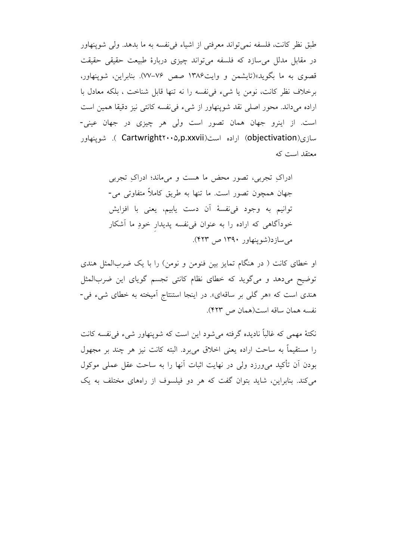طبق نظر كانت، فلسفه نمي تواند معرفتي از اشياء في نفسه به ما بدهد. ولي شوينهاور در مقابل مدلل می سازد که فلسفه می تواند چیزی دربارهٔ طبیعت حقیقی حقیقت قصوی به ما بگوید»(تایشمن و وایت۱۳۸۶ صص ۷۶–۷۷). بنابراین، شوینهاور، برخلاف نظر كانت، نومن يا شيء في نفسه را نه تنها قابل شناخت ، بلكه معادل با اراده میداند. محور اصلی نقد شوینهاور از شیء فی نفسه کانتی نیز دقیقا همین است است. از اینرو جهان همان تصور است ولی هر چیزی در جهان عینی-سازی(objectivation) اراده است(Cartwright۲۰۰۵,p.xxvii ). شوینهاور معتقد است که

او خطای کانت ( در هنگام تمایز بین فنومن و نومن) را با یک ضربالمثل هندی توضیح میدهد و میگوید که خطای نظام کانتی تجسم گویای این ضربالمثل هندی است که «هر گلی بر ساقهای». در اینجا استنتاج آمیخته به خطای شیء فی-نفسه همان ساقه است(همان ص ۴۲۳).

نکتهٔ مهمی که غالباً نادیده گرفته می شود این است که شوینهاور شیء فی نفسه کانت را مستقيماً به ساحت اراده يعني اخلاق مي برد. البته كانت نيز هر چند بر مجهول بودن أن تأكيد مىورزد ولى در نهايت اثبات أنها را به ساحت عقل عملى موكول می کند. بنابراین، شاید بتوان گفت که هر دو فیلسوف از راههای مختلف به یک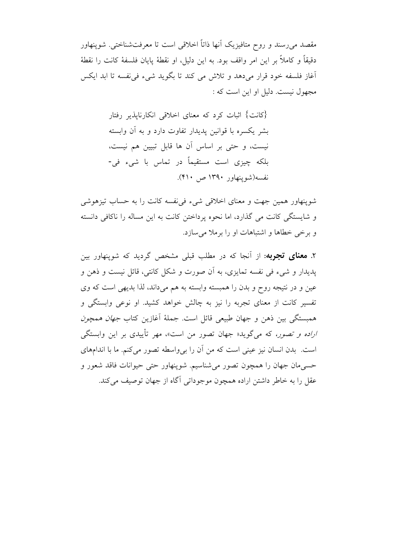مقصد میررسند و روح متافیزیک آنها ذاتاً اخلاقی است تا معرفتشناختی. شوینهاور دقيقاً و كاملاً بر اين امر واقف بود. به اين دليل، او نقطهٔ پايان فلسفهٔ كانت را نقطهٔ أغاز فلسفه خود قرار مىدهد و تلاش مى كند تا بگويد شىء فى نفسه تا ابد ايكس مجهول نيست. دليل او اين است كه :

> {کانت} اثبات کرد که معنای اخلاقی انکارناپذیر رفتار بشر یکسره با قوانین پدیدار تفاوت دارد و به آن وابسته نيست، و حتى بر اساس آن ها قابل تبيين هم نيست، بلکه چیزی است مستقیماً در تماس با شیء فی-نفسه(شوينهاور ۱۳۹۰ ص ۴۱۰).

شوینهاور همین جهت و معنای اخلاقی شیء فی نفسه کانت را به حساب تیزهوشی و شایستگی کانت می گذارد، اما نحوه پرداختن کانت به این مساله را ناکافی دانسته و برخی خطاها و اشتباهات او را برملا می سازد.

۲. **معنای تجربه**: از آنجا که در مطلب قبلی مشخص گردید که شوینهاور بین پدیدار و شیء فی نفسه تمایزی، به آن صورت و شکل کانتی، قائل نیست و ذهن و عین و در نتیجه روح و بدن را همبسته وابسته به هم می داند، لذا بدیهی است که وی تفسیر کانت از معنای تجربه را نیز به چالش خواهد کشید. او نوعی وابستگی و همبستگی بین ذهن و جهان طبیعی قائل است. جملهٔ آغازین کتاب *جهان همچون اراده و تصور،* که می گوید« جهان تصور من است»، مهر تأییدی بر این وابستگی است. بدن انسان نیز عینی است که من آن را بی واسطه تصور می کنم. ما با اندامهای حسی مان جهان را همچون تصور می شناسیم. شوپنهاور حتی حیوانات فاقد شعور و عقل را به خاطر داشتن اراده همچون موجوداتی آگاه از جهان توصیف می کند.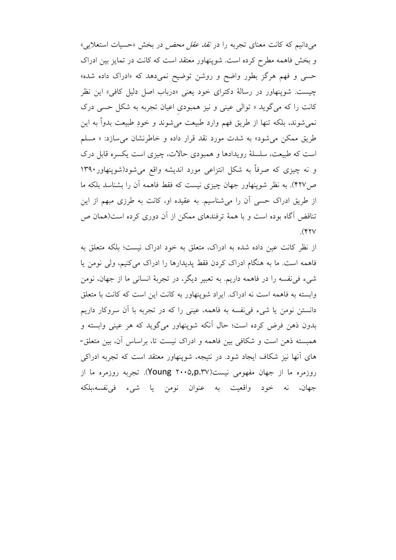میدانیم که کانت معنای تجربه را در *نقد عقل محض* در بخش «حسیات استعلایی» و بخش فاهمه مطرح کرده است. شوپنهاور معتقد است که کانت در تمایز بین ادراک حسی و فهم هرگز بطور واضح و روشن توضیح نمیدهد که «ادراک داده شده» چیست. شوپنهاور در رسالهٔ دکترای خود یعنی «درباب اصل دلیل کافی» این نظر کانت را که می گوید « توالی عینی و نیز همبودی اعیان تجربه به شکل حسی درک نمیشوند، بلکه تنها از طریق فهم وارد طبیعت میشوند و خودِ طبیعت بدواً به این طریق ممکن می شود» به شدت مورد نقد قرار داده و خاطرنشان می سازد: « مسلم است که طبیعت، سلسلهٔ رویدادها و همبودی حالات، چیزی است یکسره قابل درک و نه چیزی که صرفاً به شکل انتزاعی مورد اندیشه واقع میشود(شوینهاور۱۳۹۰ ص۴۲۷). به نظر شوینهاور جهان چیزی نیست که فقط فاهمه آن را بشناسد بلکه ما از طریق ادراک حسی آن را میشناسیم. به عقیده او، کانت به طرزی مبهم از این تناقض آگاه بوده است و با همهٔ ترفندهای ممکن از آن دوری کرده است(همان ص  $($ 

از نظر کانت عین داده شده به ادراک، متعلق به خود ادراک نیست؛ بلکه متعلق به فاهمه است. ما به هنگام ادراک کردن فقط پدیدارها را ادراک میکنیم، ولی نومن یا شييء في نفسه را در فاهمه داريم. به تعبير ديگر، در تجربهٔ انساني ما از جهان، نومن وابسته به فاهمه است نه ادراک. ایراد شوپنهاور به کانت این است که کانت با متعلق دانستن نومن یا شیء فی نفسه به فاهمه، عینی را که در تجربه با آن سروکار داریم بدون ذهن فرض کرده است؛ حال اّنکه شوینهاور میگوید که هر عینی وابسته و همبسته ذهن است و شکافی بین فاهمه و ادراک نیست تا، براساس آن، بین متعلق-های اّنها نیز شکاف ایجاد شود. در نتیجه، شوینهاور معتقد است که تجربه ادراکی روزمره ما از جهان مفهومی نیست(Young ۲۰۰۵,p.۳۷). تجربه روزمره ما از جهان، نه خود واقعيت به عنوان نومن يا شيء في(نفسه)بلكه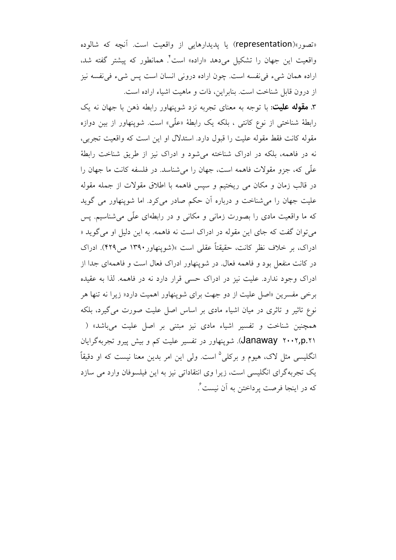«تصور»(representation) يا يديدارهايي از واقعيت است. أنچه كه شالوده واقعیت این جهان را تشکیل میٖدهد «اراده» است ٔ همانطور که پیشتر گفته شد، اراده همان شيء في نفسه است. چون اراده دروني انسان است پس شيء في نفسه نيز از درون قابل شناخت است. بنابراین، ذات و ماهیت اشیاء اراده است.

۳. **مقوله علیت**: با توجه به معنای تجربه نزد شوینهاور رابطه ذهن با جهان نه یک رابطهٔ شناختی از نوع کانتی ، بلکه یک رابطهٔ «علّی» است. شوینهاور از بین دوازه مقوله كانت فقط مقوله عليت را قبول دارد. استدلال او اين است كه واقعيت تجربي، نه در فاهمه، بلکه در ادراک شناخته می شود و ادراک نیز از طریق شناخت رابطهٔ علَّمي كه، جزو مقولات فاهمه است، جهان را مي شناسد. در فلسفه كانت ما جهان را در قالب زمان و مکان می ریختیم و سیس فاهمه با اطلاق مقولات از جمله مقوله علیت جهان را می شناخت و درباره أن حکم صادر می کرد. اما شوینهاور می گوید که ما واقعیت مادی را بصورت زمانی و مکانی و در رابطهای علّی می شناسیم. پس می توان گفت که جای این مقوله در ادراک است نه فاهمه. به این دلیل او می گوید « ادراک، بر خلاف نظر کانت، حقیقتاً عقلی است »(شوینهاور۱۳۹۰ ص۲۲۹). ادراک در کانت منفعل بود و فاهمه فعال. در شوپنهاور ادراک فعال است و فاهمهای جدا از ادراک وجود ندارد. علیت نیز در ادراک حسی قرار دارد نه در فاهمه. لذا به عقیده برخی مفسرین «اصل علیت از دو جهت برای شوینهاور اهمیت دارد« زیرا نه تنها هر نوع تاثیر و تاثری در میان اشیاء مادی بر اساس اصل علیت صورت می گیرد، بلکه همچنین شناخت و تفسیر اشیاء مادی نیز مبتنی بر اصل علیت می باشد» ( (Janaway ۲۰۰۲,p.۲۱). شوینهاور در تفسیر علیت کم و بیش پیرو تجربهگرایان انگلیسی مثل لاک، هیوم و برکلی<sup>۵</sup> است. ولی این امر بدین معنا نیست که او دقیقاً یک تجربهگرای انگلیسی است، زیرا وی انتقاداتی نیز به این فیلسوفان وارد می سازد كه در اينجا فرصت پرداختن به آن نيست ً.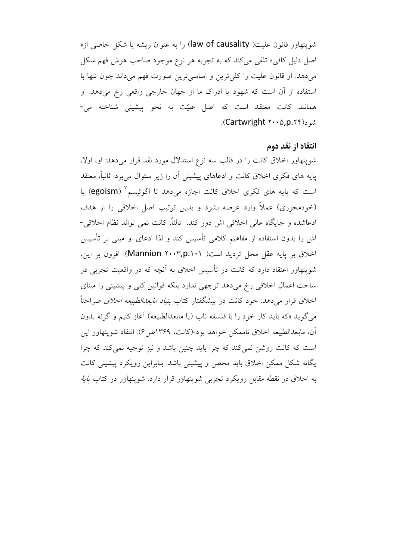شوینهاور قانون علیت( law of causality) را به عنوان ریشه یا شکل خاصی از« اصل دلیل کافی» تلقی میکند که به تجربه هر نوع موجود صاحب هوش فهم شکل می دهد. او قانون علیت را کلی ترین و اساسی ترین صورت فهم می داند چون تنها با استفاده از آن است که شهود یا ادراک ما از جهان خارجی واقعی رخ میدهد. او همانند كانت معتقد است كه اصل عليّت به نحو پيشيني شناخته مي-شو د(Cartwright ۲۰۰۵, p. ۲۴.

#### انتقاد از نقد دوم

شوپنهاور اخلاق کانت را در قالب سه نوع استدلال مورد نقد قرار میدهد: او، اولا، پایه های فکری اخلاق کانت و ادعاهای پیشینی آن را زیر سئوال می برد. ثانیاً، معتقد است که پایه های فکری اخلاق کانت اجازه میدهد تا اگوئیسم ٌ (egoism) یا (خودمحوری) عملاً وارد عرصه بشود و بدین ترتیب اصل اخلاقی را از هدف ادعاشده و جايگاه عالي اخلاقي اش دور كند. ثالثاً، كانت نمي تواند نظام اخلاقي-اش را بدون استفاده از مفاهیم کلامی تأسیس کند و لذا ادعای او مبنی بر تأسیس اخلاق بر پایه عقل محل تردید است( Mannion ۲۰۰۳,p.۱۰۱). افزون بر این، شوینهاور اعتقاد دارد که کانت در تأسیس اخلاق به اَنچه که در واقعیت تجربی در ساحت اعمال اخلاقی رخ میدهد توجهی ندارد بلکه قوانین کلی و پیشینی را مبنای اخلاق قرار میدهد. خود کانت در پیشگفتار کتاب *بنیاد مابعدالطبیعه اخلاق ص*راحتاً میگوید «که باید کار خود را با فلسفه ناب (یا مابعدالطبیعه) آغاز کنیم و گرنه بدون آن، مابعدالطبيعه اخلاق ناممكن خواهد بود»(كانت، ١٣۶٩ص ۶). انتقاد شوينهاور اين است که کانت روشن نمی کند که چرا باید چنین باشد و نیز توجیه نمی کند که چرا یگانه شکل ممکن اخلاق باید محض و پیشینی باشد. بنابراین رویکرد پیشینی کانت به اخلاق در نقطه مقابل رویکرد تجربی شوپنهاور قرار دارد. شوپنهاور در کتاب *پایهٔ*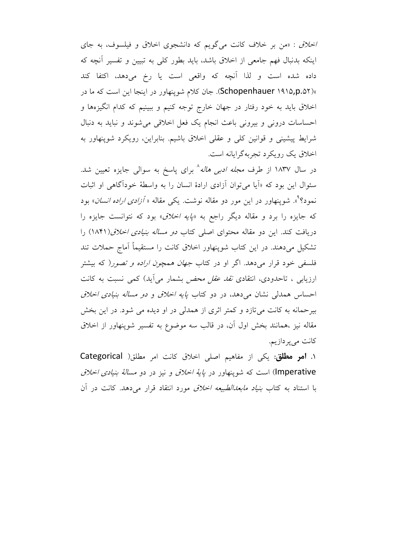اخلاق : «من بر خلاف كانت مى گويم كه دانشجوى اخلاق و فيلسوف، به جاى اینکه بدنبال فهم جامعی از اخلاق باشد، باید بطور کلی به تبیین و تفسیر آنچه که داده شده است و لذا آنچه که واقعی است یا رخ میدهد، اکتفا کند »(Schopenhauer ۱۹۱۵,p.۵۲). جان کلام شوپنهاور در اینجا این است که ما در اخلاق باید به خود رفتار در جهان خارج توجه کنیم و ببینیم که کدام انگیزهها و احساسات درونی و بیرونی باعث انجام یک فعل اخلاقی میشوند و نباید به دنبال شرایط پیشینی و قوانین کلی و عقلی اخلاق باشیم. بنابراین، رویکرد شوپنهاور به اخلاق یک رویکرد تجربهگرایانه است.

در سال ۱۸۳۷ از طرف *مجله ادبی هاله*^ برای پاسخ به سوال<sub>ی</sub> جایزه تعیین شد. سئوال این بود که «اَیا میتوان اَزادی ارادهٔ انسان را به واسطهٔ خوداًگاهی او اثبات نمود؟<sup>۹</sup>». شوینهاور در این مور دو مقاله نوشت. یکی مقاله « *آزادی اراده انسان*» بود که جایزه را برد و مقاله دیگر راجع به *«پایه اخلاق»* بود که نتوانست جایزه را دریافت کند. این دو مقاله محتوای اصلی کتاب *دو مساله بنیادی اخلاق (۱۸*۴۱) را تشکیل میدهند. در این کتاب شوپنهاور اخلاق کانت را مستقیماً آماج حملات تند فلسفی خود قرار میدهد. اگر او در کتاب *جهان همچون اراده و تصور(* که بیشتر ارزیابی ، تاحدودی، انتقادی *نقد عقل محض* بشمار میآید) کمی نسبت به کانت احساس همدلی نشان میدهد، در دو کتاب *پایه اخلاق و دو مساله بنیادی اخلاق* بیرحمانه به کانت میتازد و کمتر اثری از همدلی در او دیده می شود. در این بخش مقاله نیز ،همانند بخش اول آن، در قالب سه موضوع به تفسیر شوپنهاور از اخلاق کانت م<sub>ی پر</sub>دازیم.

۱. **امو مطلق**: یکی از مفاهیم اصلی اخلاق کانت امر مطلق( Categorical lmperative) است که شوینهاور در *پایهٔ اخلاق و* نیز در دو *مسالهٔ بنیادی اخلاق* با استناد به کتاب *بنیاد مابعدالطبیعه اخلاق* مورد انتقاد قرار میٖدهد. کانت در آن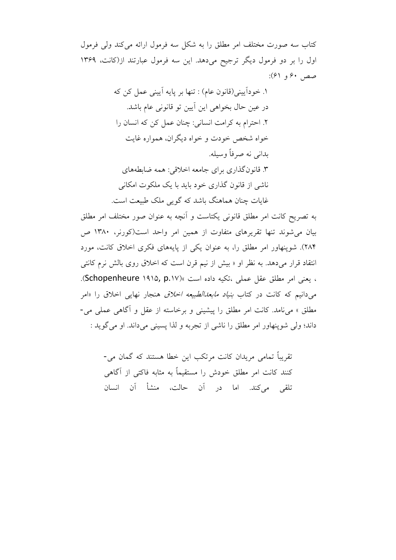كتاب سه صورت مختلف امر مطلق را به شكل سه فرمول ارائه مى كند ولى فرمول اول را بر دو فرمول دیگر ترجیح میدهد. این سه فرمول عبارتند از(کانت، ۱۳۶۹ صص ۶۰ و ۶۱):

> ١. خوداً پيني(قانون عام) : تنها بر پايه آييني عمل كن كه در عين حال بخواهي اين آيين تو قانوني عام باشد. ٢. احترام به كرامت انساني: چنان عمل كن كه انسان را خواه شخص خودت و خواه دیگران، همواره غایت بداني نه صرفاً وسيله. ۳. قانونگذاری برای جامعه اخلاقی: همه ضابطههای ناشی از قانون گذاری خود باید با یک ملکوت امکانی غایات چنان هماهنگ باشد که گویی ملک طبیعت است.

به تصریح کانت امر مطلق قانونی یکتاست و آنچه به عنوان صور مختلف امر مطلق بیان می شوند تنها تقریرهای متفاوت از همین امر واحد است(کورنر، ۱۳۸۰ ص ۲۸۴). شوینهاور امر مطلق را، به عنوان یکی از پایههای فکری اخلاق کانت، مورد انتقاد قرار میدهد. به نظر او « بیش از نیم قرن است که اخلاق روی بالش نرم کانتی ، يعني امر مطلق عقل عملي ،تكيه داده است »(Schopenheure ۱۹۱۵, p.۱۷). می دانیم که کانت در کتاب *بنیاد مابعدالطبیعه اخلاق* هنجار نهایی اخلاق را «امر مطلق » می نامد. کانت امر مطلق را پیشینی و برخاسته از عقل و آگاهی عملی می-داند؛ ولي شوينهاور امر مطلق را ناشي از تجربه و لذا يسيني مي داند. او مي گويد :

> تقریباً تمامی مریدان کانت مرتکب این خطا هستند که گمان می-کنند کانت امر مطلق خودش را مستقیماً به مثابه فاکتی از آگاهی تلقى مى كند. اما در آن حالت، منشأ آن انسان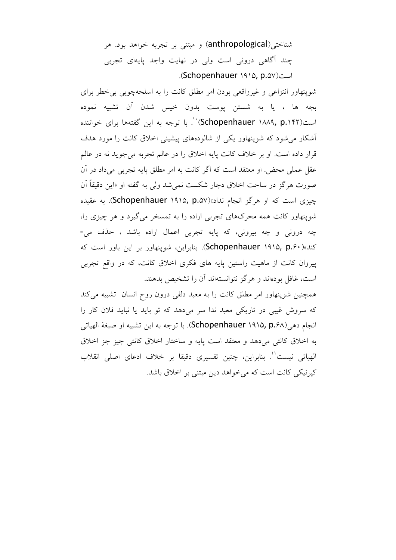شناختی(anthropological) و مبتنی بر تجربه خواهد بود. هر چند آگاهی درونی است ولی در نهایت واجد پایهای تجربی است(Schopenhauer ۱۹۱۵, p.۵۷).

شوینهاور انتزاعی و غیرواقعی بودن امر مطلق کانت را به اسلحهچوبی بی خطر برای بچه ها ، يا به شستن يوست بدون خيس شدن آن تشبيه نموده است(۱۸۲۲ Schopenhauer) `` با توجه به این گفتهها برای خواننده آشکار می شود که شوینهاور یکی از شالودههای پیشینی اخلاق کانت را مورد هدف قرار داده است. او بر خلاف کانت پایه اخلاق را در عالم تجربه می جوید نه در عالم عقل عملی محض. او معتقد است که اگر کانت به امر مطلق پایه تجربی میداد در آن صورت هرگز در ساحت اخلاق دچار شکست نمیشد ولی به گفته او «این دقیقاً آن چیزی است که او هرگز انجام نداد»(Schopenhauer ۱۹۱۵, p.۵۷). به عقیده شوپنهاور کانت همه محرکهای تجربی اراده را به تمسخر میگیرد و هر چیزی را، چه درونی و چه بیرونی، که پایه تجربی اعمال اراده باشد ، حذف می-کند»(Schopenhauer ۱۹۱۵, p.۶۰). بنابراین، شوپنهاور بر این باور است که پیروان کانت از ماهیت راستین پایه های فکری اخلاق کانت، که در واقع تجربی است، غافل بودهاند و هرگز نتوانستهاند آن را تشخیص بدهند.

همچنین شوپنهاور امر مطلق کانت را به معبد دلفی درون روح انسان تشبیه میکند که سروش غیبی در تاریکی معبد ندا سر میدهد که تو باید یا نباید فلان کار را انجام دهي (Schopenhauer ۱۹۱۵, p.۶۸). با توجه به اين تشبيه او صبغة الهياتي به اخلاق کانتی میدهد و معتقد است پایه و ساختار اخلاق کانتی چیز جز اخلاق الهياتي نيست''. بنابراين، چنين تفسيري دقيقا بر خلاف ادعاي اصلي انقلاب کیرنیکی کانت است که می خواهد دین مبتنی بر اخلاق باشد.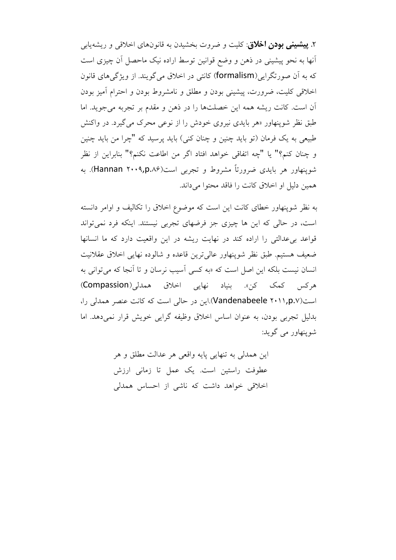۲. **پیشینی بودن اخلاق**: کلیت و ضروت بخشیدن به قانونهای اخلاقی و ریشهیابی أنها به نحو پیشینی در ذهن و وضع قوانین توسط اراده نیک ماحصل اَن چیزی است که به آن صورتگرایی(formalism) کانتی در اخلاق می گویند. از ویژگی های قانون اخلاقی کلیت، ضرورت، پیشینی بودن و مطلق و نامشروط بودن و احترام آمیز بودن آن است. کانت ریشه همه این خصلتها را در ذهن و مقدم بر تجربه می جوید. اما طبق نظر شوینهاور «هر بایدی نیروی خودش را از نوعی محرک می گیرد. در واکنش طبیعی به یک فرمان (تو باید چنین و چنان کنی) باید پرسید که "چرا من باید چنین و چنان كنم؟" يا "چه اتفاقى خواهد افتاد اگر من اطاعت نكنم؟" بنابراين از نظر شوینهاور هر بایدی ضرورتاً مشروط و تجربی است(۱۰۰۹٫p.۸۶). به همين دليل او اخلاق كانت را فاقد محتوا مي داند.

به نظر شوینهاور خطای کانت این است که موضوع اخلاق را تکالیف و اوامر دانسته است، در حالي كه اين ها چيزي جز فرضهاي تجربي نيستند. اينكه فرد نمي تواند قواعد بی عدالتی را اراده کند در نهایت ریشه در این واقعیت دارد که ما انسانها ضعيف هستيم. طبق نظر شوينهاور عالي ترين قاعده و شالوده نهايي اخلاق عقلانيت انسان نیست بلکه این اصل است که «به کسی آسیب نرسان و تا آنجا که می توانی به هرکس کمک کن». بنياد نهايي اخلاق همدلي(Compassion) است(Vandenabeele ۲۰۱۱,p.v).این در حالی است که کانت عنصر همدلی را، بدلیل تجربی بودن، به عنوان اساس اخلاق وظیفه گرایی خویش قرار نمی دهد. اما شوينھاور مي گويد:

> اين همدلي به تنهايي پايه واقعي هر عدالت مطلق و هر عطوفت راستین است. یک عمل تا زمانی ارزش اخلاقی خواهد داشت که ناشی از احساس همدلی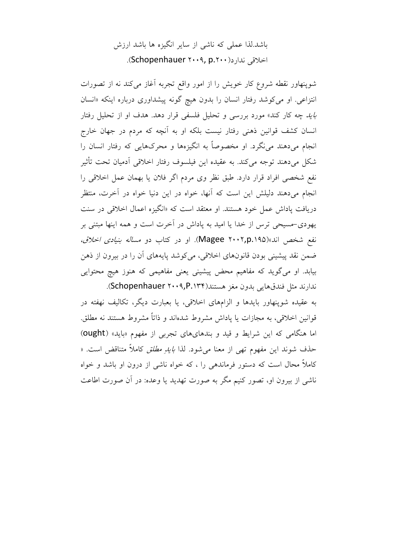# باشد.لذا عملی که ناشی از سایر انگیزه ها باشد ارزش اخلاقی ندارد(Schopenhauer ۲۰۰۹, p.۲۰۰).

شوینهاور نقطه شروع کار خویش را از امور واقع تجربه آغاز می کند نه از تصورات انتزاعی. او میکوشد رفتار انسان را بدون هیچ گونه پیشداوری درباره اینکه «انسان *باید چه کار کند» مورد بررسی و تحلیل فلسفی قرار دهد. هدف او از تحلیل رفتار* انسان کشف قوانین ذهنی رفتار نیست بلکه او به آنچه که مردم در جهان خارج انجام میدهند می نگرد. او مخصوصاً به انگیزهها و محرکهایی که رفتار انسان را شکل میدهند توجه میکند. به عقیده این فیلسوف رفتار اخلاقی آدمیان تحت تأثیر نفع شخصي افراد قرار دارد. طبق نظر وي مردم اگر فلان يا بهمان عمل اخلاقي را انجام میدهند دلیلش این است که آنها، خواه در این دنیا خواه در آخرت، منتظر دریافت یاداش عمل خود هستند. او معتقد است که «انگیزه اعمال اخلاقی در سنت یهودی-مسیحی ترس از خدا یا امید به یاداش در آخرت است و همه اینها مبتنی بر نفع شخص اند»(Magee ۲۰۰۲,p.۱۹۵). او در کتاب دو *مساله بنیادی اخلاق،* ضمن نقد پیشینی بودن قانونهای اخلاقی، میکوشد پایههای آن را در بیرون از ذهن بیابد. او میگوید که مفاهیم محض پیشینی یعنی مفاهیمی که هنوز هیچ محتوایی ندارند مثل فندقهايي بدون مغز هستند(Schopenhauer ۲۰۰۹,P.۱۳۴).

به عقیده شوینهاور بایدها و الزامهای اخلاقی، یا بعبارت دیگر، تکالیف نهفته در قوانين اخلاقي، به مجازات يا ياداش مشروط شدهاند و ذاتاً مشروط هستند نه مطلق. اما هنگامی که این شرایط و قید و بندهایهای تجربی از مفهوم «باید» (ought) حذف شوند این مفهوم تهی از معنا میشود. لذا *بایدِ مطلق* کاملاً متناقض است. « کاملاً محال است که دستور فرماندهی را ، که خواه ناشی از درون او باشد و خواه ناشی از بیرون او، تصور کنیم مگر به صورت تهدید یا وعده: در آن صورت اطاعت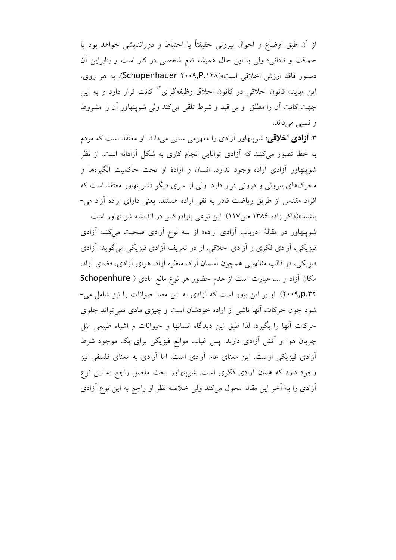از أن طبق اوضاع و احوال بيروني حقيقتاً يا احتياط و دورانديشي خواهد بود يا حماقت و نادانی؛ ولی با این حال همیشه نفع شخصی در کار است و بنابراین آن دستور فاقد ارزش اخلاقی است»(Schopenhauer ۲۰۰۹,P.۱۲۸). به هر روی، این «باید» قانون اخلاقی در کانون اخلاق وظیفهگرای<sup>۱۲</sup> کانت قرار دارد و به این جهت كانت أن را مطلق و بي قيد و شرط تلقى مى كند ولى شوينهاور أن را مشروط و نسبي ميداند.

۳. **أزادي اخلاقي**: شوينهاور أزادي را مفهومي سلبي ميداند. او معتقد است كه مردم به خطا تصور میکنند که آزادی توانایی انجام کاری به شکل آزادانه است. از نظر شوینهاور آزادی اراده وجود ندارد. انسان و ارادهٔ او تحت حاکمیت انگیزهها و محرکهای بیرونی و درونی قرار دارد. ولی از سوی دیگر «شوینهاور معتقد است که افراد مقدس از طریق ریاضت قادر به نفی اراده هستند. یعنی دارای اراده آزاد می-

باشند»(ذاکر زاده ۱۳۸۶ ص۱۱۷). این نوعی پارادوکس در اندیشه شوینهاور است. شوینهاور در مقالهٔ «درباب آزادی اراده» از سه نوع آزادی صحبت می کند: آزادی فیزیکی، آزادی فکری و آزادی اخلاقی. او در تعریف آزادی فیزیکی می گوید: آزادی فیزیکی، در قالب مثالهایی همچون آسمان آزاد، منظره آزاد، هوای آزادی، فضای آزاد، مکان آزاد و ...، عبارت است از عدم حضور هر نوع مانع مادی ( Schopenhure ۲۰۰۹٫p.۳۲). او بر این باور است که آزادی به این معنا حیوانات را نیز شامل می-شود چون حرکات آنها ناشی از اراده خودشان است و چیزی مادی نمی تواند جلوی حركات أنها را بگيرد. لذا طبق اين ديدگاه انسانها و حيوانات و اشياء طبيعي مثل جریان هوا و اّتش اّزادی دارند. پس غیاب موانع فیزیکی برای یک موجود شرط آزادی فیزیکی اوست. این معنای عام آزادی است. اما آزادی به معنای فلسفی نیز وجود دارد که همان آزادی فکری است. شوپنهاور بحث مفصل راجع به این نوع آزادی را به آخر این مقاله محول می کند ولی خلاصه نظر او راجع به این نوع آزادی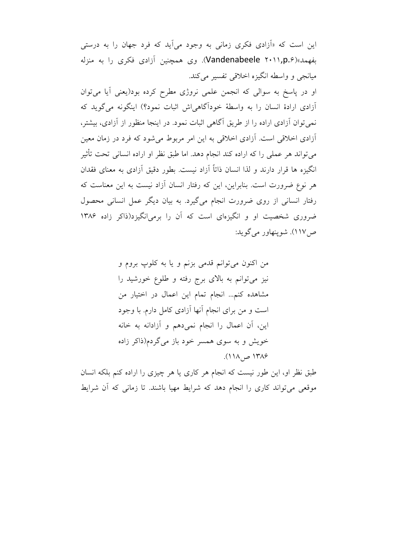این است که «آزادی فکری زمانی به وجود میآید که فرد جهان را به درستی بفهمد»(Vandenabeele ۲۰۱۱,p.۶). وی همچنین آزادی فکری را به منزله ميانجي و واسطه انگيزه اخلاقي تفسير مي کند.

او در پاسخ به سوالي كه انجمن علمي نروژي مطرح كرده بود(يعني آيا مي توان اّزادی ارادهٔ انسان را به واسطهٔ خوداًگاهی اش اثبات نمود؟) اینگونه می گوید که نمي توان آزادي اراده را از طريق آگاهي اثبات نمود. در اينجا منظور از آزادي، بيشتر، آزادی اخلاقی است. آزادی اخلاقی به این امر مربوط می شود که فرد در زمان معین می تواند هر عملی را که اراده کند انجام دهد. اما طبق نظر او اراده انسانی تحت تأثیر انگیزه ها قرار دارند و لذا انسان ذاتاً آزاد نیست. بطور دقیق آزادی به معنای فقدان هر نوع ضرورت است. بنابراین، این که رفتار انسان آزاد نیست به این معناست که رفتار انسانی از روی ضرورت انجام میگیرد. به بیان دیگر عمل انسانی محصول ضروری شخصیت او و انگیزهای است که آن را برمیانگیزد(ذاکر زاده ۱۳۸۶ ص ١١٧). شوينهاور مي گويد:

> من اکنون میتوانم قدمی بزنم و یا به کلوپ بروم و نیز میتوانم به بالای برج رفته و طلوع خورشید را مشاهده كنم... انجام تمام اين اعمال در اختيار من است و من برای انجام آنها آزادی کامل دارم. با وجود این، آن اعمال را انجام نمی دهم و آزادانه به خانه خویش و به سوی همسر خود باز میگردم(ذاکر زاده ۱۳۸۶ ص ۱۱۸).

طبق نظر او، این طور نیست که انجام هر کاری یا هر چیزی را اراده کنم بلکه انسان موقعی می تواند کاری را انجام دهد که شرایط مهیا باشند. تا زمانی که آن شرایط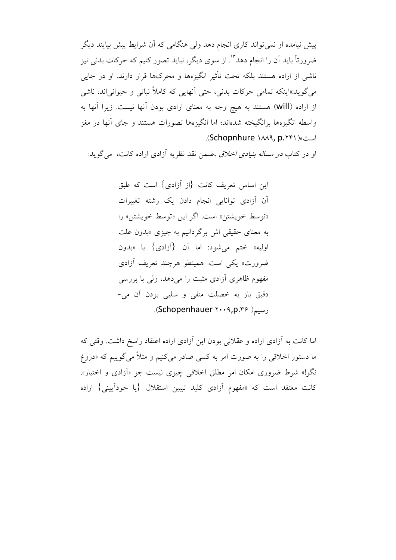پیش نیامده او نمی تواند کاری انجام دهد ولی هنگامی که آن شرایط پیش بیایند دیگر ضرورتاً باید آن را انجام دهد"'. از سوی دیگر، نباید تصور کنیم که حرکات بدنی نیز ناشی از اراده هستند بلکه تحت تأثیر انگیزهها و محرکها قرار دارند. او در جایی مي گويد:«اينكه تمامي حركات بدني، حتى أنهايي كه كاملاً نباتي و حيواني اند، ناشي از اراده (will) هستند به هیچ وجه به معنای ارادی بودن آنها نیست. زیرا آنها به واسطه انگیزهها برانگیخته شدهاند؛ اما انگیزهها تصورات هستند و جای آنها در مغز است» (Schopnhure ۱۸۸۹, p.۲۴۱).

او در کتاب *دو مساله بنیادی اخلاق ،ض*من نقد نظریه آزادی اراده کانت، می گوید:

این اساس تعریف کانت {از آزادی} است که طبق آن آزادی توانایی انجام دادن یک رشته تغییرات «توسط خويشتن» است. اگر اين «توسط خويشتن» را به معنای حقیقی اش برگردانیم به چیزی «بدون علت اوليه» ختم مي شود: اما أن {أزادي} با «بدون ضرورت» یکی است. همینطو هرچند تعریف آزادی مفهوم ظاهری آزادی مثبت را میدهد، ولی با بررسی دقیق باز به خصلت منفی و سلبی بودن آن می-رسيم ( Schopenhauer ۲۰۰۹, p.۳۶).

اما كانت به آزادي اراده و عقلاني بودن اين آزادي اراده اعتقاد راسخ داشت. وقتي كه ما دستور اخلاقی را به صورت امر به کسی صادر میکنیم و مثلاً میگوییم که «دروغ نگو!» شرط ضروری امکان امر مطلق اخلاقی چیزی نیست جز «آزادی و اختیار». کانت معتقد است که «مفهوم آزادی کلید تبیین استقلال {یا خوداَیینی} اراده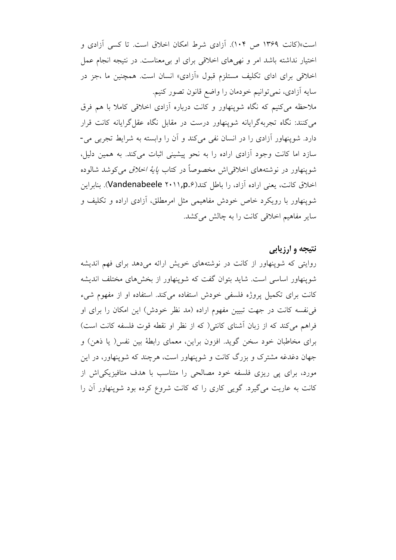است»(کانت ۱۳۶۹ ص ۱۰۴). آزادی شرط امکان اخلاق است. تا کسی آزادی و اختیار نداشته باشد امر و نهی های اخلاقی برای او بی معناست. در نتیجه انجام عمل اخلاقی برای ادای تکلیف مستلزم قبول «آزادی» انسان است. همچنین ما ،جز در سايه أزادي، نمي توانيم خودمان را واضع قانون تصور كنيم.

ملاحظه می کنیم که نگاه شوینهاور و کانت درباره آزادی اخلاقی کاملا با هم فرق می کنند: نگاه تجربهگرایانه شوینهاور درست در مقابل نگاه عقل گرایانه کانت قرار دارد. شوینهاور آزادی را در انسان نفی میکند و آن را وابسته به شرایط تجربی می-سازد اما كانت وجود آزادي اراده را به نحو پيشيني اثبات مي كند. به همين دليل، شوپنهاور در نوشتههای اخلاقی اش مخصوصاً در کتاب *پایهٔ اخلاق* می کوشد شالوده اخلاق كانت، يعني اراده آزاد، را باطل كند(Vandenabeele ۲۰۱۱,p.۶). بنابراين شوینهاور با رویکرد خاص خودش مفاهیمی مثل امرمطلق، آزادی اراده و تکلیف و سایر مفاهیم اخلاقی کانت را به چالش میکشد.

### نتيجه و ارزيابي

روایتی که شوپنهاور از کانت در نوشتههای خویش ارائه میدهد برای فهم اندیشه شوینهاور اساسی است. شاید بتوان گفت که شوینهاور از بخشهای مختلف اندیشه کانت برای تکمیل پروژه فلسفی خودش استفاده می کند. استفاده او از مفهوم شیء فی نفسه کانت در جهت تبیین مفهوم اراده (مد نظر خودش) این امکان را برای او فراهم می کند که از زبان آشنای کانتی( که از نظر او نقطه قوت فلسفه کانت است) برای مخاطبان خود سخن گوید. افزون براین، معمای رابطهٔ بین نفس( یا ذهن) و جهان دغدغه مشترک و بزرگ کانت و شوینهاور است، هرچند که شوینهاور، در این مورد، برای پی ریزی فلسفه خود مصالحی را متناسب با هدف متافیزیکیاش از کانت به عاریت می گیرد. گویی کاری را که کانت شروع کرده بود شوینهاور آن را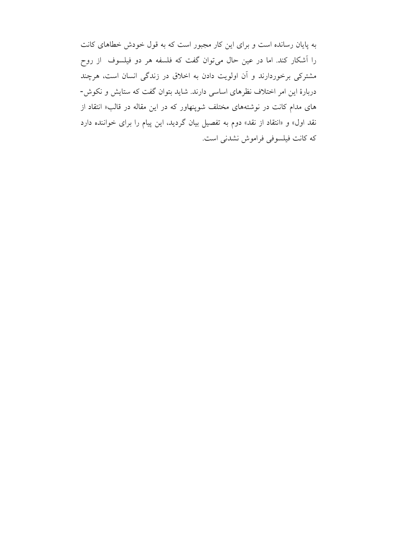به پایان رسانده است و برای این کار مجبور است که به قول خودش خطاهای کانت را آشکار کند. اما در عین حال میتوان گفت که فلسفه هر دو فیلسوف از روح مشترکی برخوردارند و آن اولویت دادن به اخلاق در زندگی انسان است، هرچند دربارهٔ این امر اختلاف نظرهای اساسی دارند. شاید بتوان گفت که ستایش و نکوش-های مدام کانت در نوشتههای مختلف شوپنهاور که در این مقاله در قالب« انتقاد از نقد اول» و «انتقاد از نقد» دوم به تفصیل بیان گردید، این پیام را برای خواننده دارد كه كانت فيلسوفي فراموش نشدني است.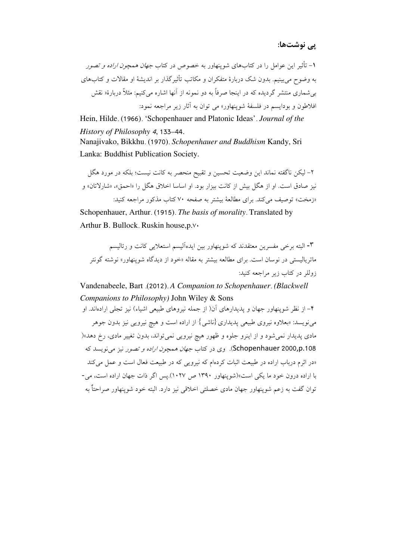۱- تأثیر این عوامل را در کتابهای شوینهاور به خصوص در کتاب *جهان همچون اراده و تصور* به وضوح می بینیم. بدون شک دربارهٔ متفکران و مکاتب تأثیر گذار بر اندیشهٔ او مقالات و کتابهای بی شماری منتشر گردیده که در اینجا صرفاً به دو نمونه از آنها اشاره میکنیم: مثلاً دربارهٔ« نقش افلاطون و پودایسم در فلسفهٔ شوپنهاور» مے توان به آثار زیر مراجعه نمود:

Hein, Hilde. (1966). 'Schopenhauer and Platonic Ideas'. Journal of the History of Philosophy 4, 133-44.

Nanajivako, Bikkhu. (1970). Schopenhauer and Buddhism Kandy, Sri Lanka: Buddhist Publication Society.

۲– لیکن ناگفته نماند این وضعیت تحسین و تقبیح منحصر به کانت نیست؛ بلکه در مورد هگل نيز صادق است. او از هگل بيش از كانت بيزار بود. او اساسا اخلاق هگل را «احمق»، «شارلاتان» و «زمخت» توصيف مي كند. براي مطالعهٔ بيشتر به صفحه ۷۰ كتاب مذكور مراجعه كنيد: Schopenhauer, Arthur. (1915). The basis of morality. Translated by

Arthur B. Bullock. Ruskin house.p.v.

۳- البته برخی مفسرین معتقدند که شوینهاور بین ایدهآلیسم استعلایی کانت و رئالیسم ماتر بالیست<sub>ی</sub> در نوسان است. برای مطالعه بیشتر به مقاله «خود از دیدگاه شوینهاور» نوشته گونتر زوللر در کتاب زیر مراجعه کنید:

Vandenabeele, Bart (2012). A Companion to Schopenhauer. (Blackwell Companions to Philosophy) John Wiley & Sons

۴– از نظر شوینهاور جهان و پدیدارهای آن( از جمله نیروهای طبیعی اشیاء) نیز تجلی ارادهاند. او می نویسد: «بعلاوه نیروی طبیعی پدیداری {ناشی} از اراده است و هیچ نیرویی نیز بدون جوهر مادي پديدار نمي شود و از اينرو جلوه و ظهور هيچ نيرويي نمي تواند، بدون تغيير مادي، رخ دهد»( Schopenhauer 2000,p.108). وي در كتاب *جهان همچون اراده و تصور* نيز مي نويسد كه «در اثرم درباب اراده در طبیعت اثبات کردهام که نیرویی که در طبیعت فعال است و عمل میکند با اراده درون خود ما یکی است»(شوینهاور ۱۳۹۰ ص ۱۰۲۷).پس اگر ذات جهان اراده است، می-توان گفت به زعم شوينهاور جهان مادي خصلتي اخلاقي نيز دارد. البته خود شوينهاور صراحتاً به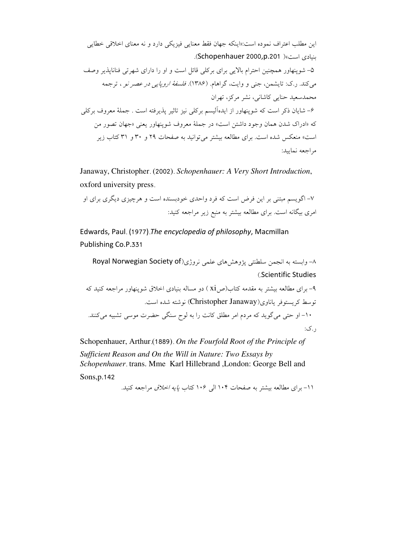این مطلب اعتراف نموده است:«اینکه جهان فقط معنایی فیزیکی دارد و نه معنای اخلاقی خطابی بنيادي إست»( Schopenhauer 2000.p.201). ۵– شوینهاور همچنین احترام بالایی برای برکلی قائل است و او را دارای شهرتی فناناپذیر وصف می کند. ر.ک: تایشمن، جنی و وایت، گراهام. (۱۳۸۶). *فلسفهٔ اروپایی در عصر نو* ، ترجمه محمدسعید حنایی کاشانی، نشر مرکز، تھران ۶– شایان ذکر است که شوپنهاور از ایدهآلیسم برکلی نیز تاثیر پذیرفته است . جملهٔ معروف برکلی که «ادراک شدن همان وجود داشتن است» در جملهٔ معروف شوپنهاور یعنی «جهان تصور من است» منعکس شده است. برای مطالعه بیشتر می توانید به صفحات ۲۹ و ۳۰ و ۳۱ کتاب زیر مراجعه نماسد:

Janaway, Christopher. (2002). Schopenhauer: A Very Short Introduction, oxford university press.

۷– اگویسم مبتنی بر این فرض است که فرد واحدی خودبسنده است و هرچیزی دیگری برای او امری بیگانه است. برای مطالعه بیشتر به منبع زیر مراجعه کنید:

Edwards, Paul. (1977). The encyclopedia of philosophy, Macmillan Publishing Co.P.331

٨- وابسته به انجمن سلطنتي يژوهش هاي علمي نروژي(Royal Norwegian Society of (Scientific Studies

۹- برای مطالعه بیشتر به مقدمه کتاب(ص xi ) دو مساله بنیادی اخلاق شوینهاور مراجعه کنید که توسط کریستوفر یاناوی(Christopher Janaway) نوشته شده است. ۱۰- او حتی می گوید که مردم امر مطلق کانت را به لوح سنگی حضرت موسی تشبیه می کنند. . ک:

Schopenhauer, Arthur (1889). On the Fourfold Root of the Principle of Sufficient Reason and On the Will in Nature: Two Essays by Schopenhauer trans. Mme Karl Hillebrand , London: George Bell and Sons, p.142

١١- براي مطالعه بيشتر به صفحات ١٠۴ الى ١٠۶ كتاب *يايه اخلاق* مراجعه كنيد.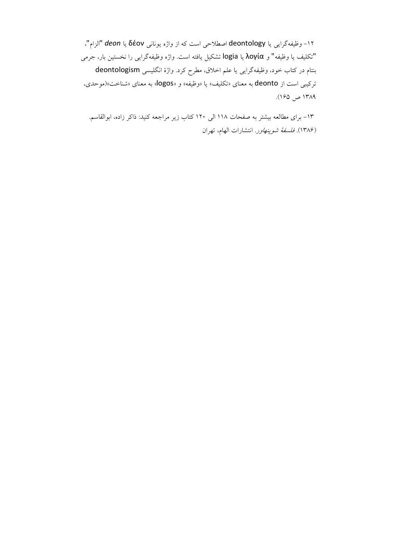١٢- وظيفهگرايي يا deontology اصطلاحي است كه از واژه يوناني δέον يا deon "الزام"، "تكليف يا وظيفه" و λογία يا logia تشكيل يافته است. واژه وظيفهگرايي را نخستين بار، جرمي بنتام در کتاب خود، وظیفهگرایی یا علم اخلاق، مطرح کرد. واژهٔ انگلیسی deontologism ترکیبی است از deonto به معنای «تکلیف» یا «وظیفه» و «logos» به معنای «شناخت»(موحدی، ١٣٨٩ ص ١٤٥).

۱۳– برای مطالعه بیشتر به صفحات ۱۱۸ الی ۱۲۰ کتاب زیر مراجعه کنید: ذاکر زاده، ابوالقاسم. (۱۳۸۶). *فلسفة شوپنهاور*. انتشارات الهام، تهران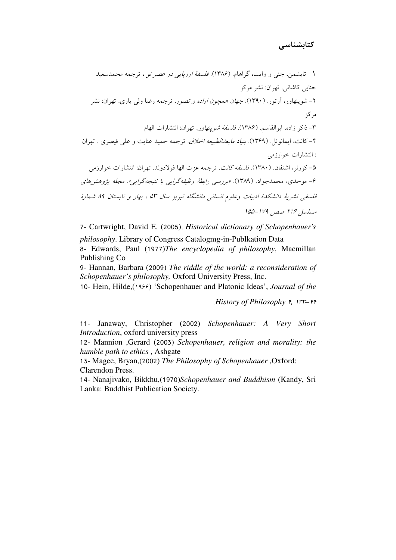7- Cartwright, David E. (2005). Historical dictionary of Schopenhauer's

*philosophy*. Library of Congress Catalogmg-in-Publkation Data

8- Edwards, Paul (1977)The encyclopedia of philosophy, Macmillan Publishing Co

9- Hannan, Barbara (2009) The riddle of the world: a reconsideration of Schopenhauer's philosophy, Oxford University Press, Inc.

10- Hein, Hilde, (1955) 'Schopenhauer and Platonic Ideas', Journal of the

History of Philosophy F, Irr-FF

11- Janaway, Christopher (2002) Schopenhauer: A Very Short Introduction, oxford university press

12- Mannion ,Gerard (2003) Schopenhauer, religion and morality: the humble path to ethics, Ashgate

13- Magee, Bryan,(2002) The Philosophy of Schopenhauer, Oxford: Clarendon Press.

14- Nanajivako, Bikkhu, (1970) Schopenhauer and Buddhism (Kandy, Sri Lanka: Buddhist Publication Society.